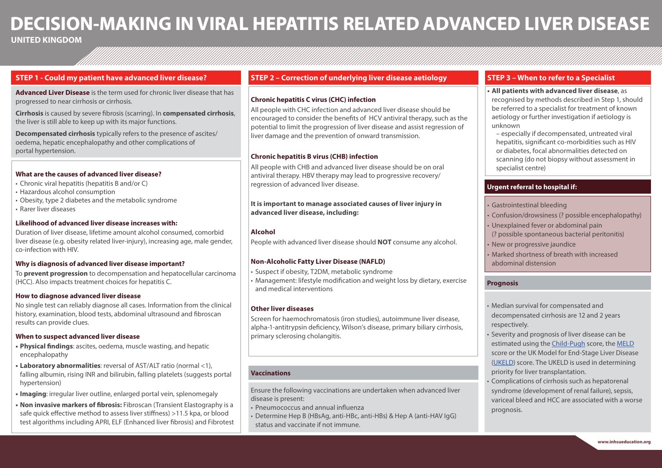# **DECISION-MAKING IN VIRAL HEPATITIS RELATED ADVANCED LIVER DISEASE**

## **UNITED KINGDOM**

## **STEP 1 - Could my patient have advanced liver disease?**

**Advanced Liver Disease** is the term used for chronic liver disease that has progressed to near cirrhosis or cirrhosis.

**Cirrhosis** is caused by severe fibrosis (scarring). In **compensated cirrhosis**, the liver is still able to keep up with its major functions.

**Decompensated cirrhosis** typically refers to the presence of ascites/ oedema, hepatic encephalopathy and other complications of portal hypertension.

#### **What are the causes of advanced liver disease?**

- Chronic viral hepatitis (hepatitis B and/or C)
- Hazardous alcohol consumption
- Obesity, type 2 diabetes and the metabolic syndrome
- Rarer liver diseases

#### **Likelihood of advanced liver disease increases with:**

Duration of liver disease, lifetime amount alcohol consumed, comorbid liver disease (e.g. obesity related liver-injury), increasing age, male gender, co-infection with HIV.

#### **Why is diagnosis of advanced liver disease important?**

To **prevent progression** to decompensation and hepatocellular carcinoma (HCC). Also impacts treatment choices for hepatitis C.

#### **How to diagnose advanced liver disease**

No single test can reliably diagnose all cases. Information from the clinical history, examination, blood tests, abdominal ultrasound and fibroscan results can provide clues.

#### **When to suspect advanced liver disease**

- **• Physical findings**: ascites, oedema, muscle wasting, and hepatic encephalopathy
- **• Laboratory abnormalities**: reversal of AST/ALT ratio (normal <1), falling albumin, rising INR and bilirubin, falling platelets (suggests portal hypertension)
- **• Imaging**: irregular liver outline, enlarged portal vein, splenomegaly
- **• Non invasive markers of fibrosis:** Fibroscan (Transient Elastography is a safe quick effective method to assess liver stiffness) >11.5 kpa, or blood test algorithms including APRI, ELF (Enhanced liver fibrosis) and Fibrotest

### **STEP 2 – Correction of underlying liver disease aetiology**

#### **Chronic hepatitis C virus (CHC) infection**

All people with CHC infection and advanced liver disease should be encouraged to consider the benefits of HCV antiviral therapy, such as the potential to limit the progression of liver disease and assist regression of liver damage and the prevention of onward transmission.

#### **Chronic hepatitis B virus (CHB) infection**

All people with CHB and advanced liver disease should be on oral antiviral therapy. HBV therapy may lead to progressive recovery/ regression of advanced liver disease.

**It is important to manage associated causes of liver injury in advanced liver disease, including:**

#### **Alcohol**

People with advanced liver disease should **NOT** consume any alcohol.

#### **Non-Alcoholic Fatty Liver Disease (NAFLD)**

• Suspect if obesity, T2DM, metabolic syndrome

• Management: lifestyle modification and weight loss by dietary, exercise and medical interventions

#### **Other liver diseases**

Screen for haemochromatosis (iron studies), autoimmune liver disease, alpha-1-antitrypsin deficiency, Wilson's disease, primary biliary cirrhosis, primary sclerosing cholangitis.

#### **Vaccinations**

Ensure the following vaccinations are undertaken when advanced liver disease is present:

- Pneumococcus and annual influenza
- Determine Hep B (HBsAg, anti-HBc, anti-HBs) & Hep A (anti-HAV IgG) status and vaccinate if not immune.

### **STEP 3 – When to refer to a Specialist**

#### **• All patients with advanced liver disease**, as recognised by methods described in Step 1, should be referred to a specialist for treatment of known

aetiology or further investigation if aetiology is unknown

– especially if decompensated, untreated viral hepatitis, significant co-morbidities such as HIV or diabetes, focal abnormalities detected on scanning (do not biopsy without assessment in specialist centre)

## **Urgent referral to hospital if:**

- Gastrointestinal bleeding
- Confusion/drowsiness (? possible encephalopathy)
- Unexplained fever or abdominal pain (? possible spontaneous bacterial peritonitis)
- New or progressive jaundice
- Marked shortness of breath with increased abdominal distension

#### **Prognosis**

- Median survival for compensated and decompensated cirrhosis are 12 and 2 years respectively.
- Severity and prognosis of liver disease can be estimated using the Child-Pugh score, the MELD score or the UK Model for End-Stage Liver Disease (UKELD) score. The UKELD is used in determining priority for liver transplantation.
- Complications of cirrhosis such as hepatorenal syndrome (development of renal failure), sepsis, variceal bleed and HCC are associated with a worse prognosis.